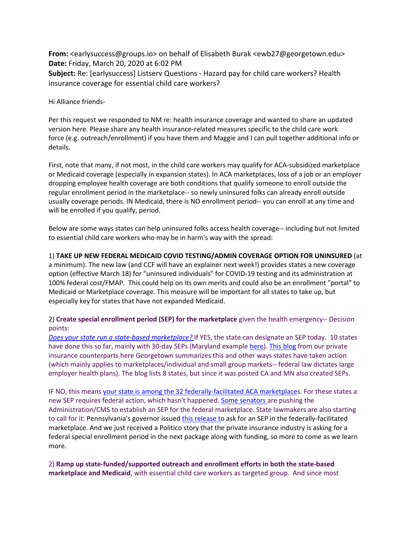**From:** <earlysuccess@groups.io> on behalf of Elisabeth Burak <ewb27@georgetown.edu> **Date:** Friday, March 20, 2020 at 6:02 PM **Subject:** Re: [earlysuccess] Listserv Questions - Hazard pay for child care workers? Health insurance coverage for essential child care workers?

Hi Alliance friends-

Per this request we responded to NM re: health insurance coverage and wanted to share an updated version here. Please share any health insurance-related measures specific to the child care work force (e.g. outreach/enrollment) if you have them and Maggie and I can pull together additional info or details.

First, note that many, if not most, in the child care workers may qualify for ACA-subsidized marketplace or Medicaid coverage (especially in expansion states). In ACA marketplaces, loss of a job or an employer dropping employee health coverage are both conditions that qualify someone to enroll outside the regular enrollment period in the marketplace-- so newly uninsured folks can already enroll outside usually coverage periods. IN Medicaid, there is NO enrollment period-- you can enroll at any time and will be enrolled if you qualify, period.

Below are some ways states can help uninsured folks access health coverage-- including but not limited to essential child care workers who may be in harm's way with the spread:

1) **TAKE UP NEW FEDERAL MEDICAID COVID TESTING/ADMIN COVERAGE OPTION FOR UNINSURED** (at a minimum). The new law (and CCF will have an explainer next week!) provides states a new coverage option (effective March 18) for "uninsured individuals" for COVID-19 testing and its administration at 100% federal cost/FMAP. This could help on its own merits and could also be an enrollment "portal" to Medicaid or Marketplace coverage. This measure will be important for all states to take up, but especially key for states that have not expanded Medicaid.

2) **Create special enrollment period (SEP) for the marketplace** given the health emergency-- Decision points:

*Does your state run a state-based marketplace?* If YES, the state can designate an SEP today. 10 states have done this so far, mainly with 30-day SEPs (Maryland example here). This blog from our private insurance counterparts here Georgetown summarizes this and other ways states have taken action (which mainly applies to marketplaces/individual and small group markets-- federal law dictates large employer health plans). The blog lists 8 states, but since it was posted CA and MN also created SEPs.

IF NO, this means your state is among the 32 federally-facilitated ACA marketplaces. For these states a new SEP requires federal action, which hasn't happened. Some senators are pushing the Administration/CMS to establish an SEP for the federal marketplace. State lawmakers are also starting to call for it: Pennsylvania's governor issued this release to ask for an SEP in the federally-facilitated marketplace. And we just received a Politico story that the private insurance industry is asking for a federal special enrollment period in the next package along with funding, so more to come as we learn more.

2) **Ramp up state-funded/supported outreach and enrollment efforts in both the state-based marketplace and Medicaid**, with essential child care workers as targeted group. And since most